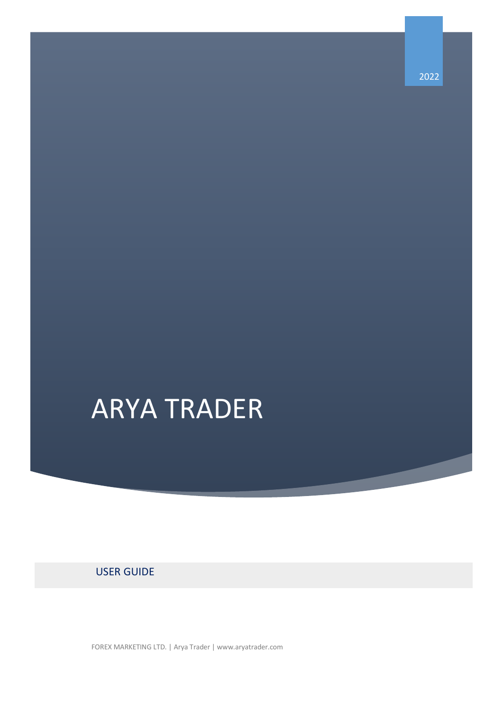2022

# ARYA TRADER

## USER GUIDE

FOREX MARKETING LTD. | Arya Trader | www.aryatrader.com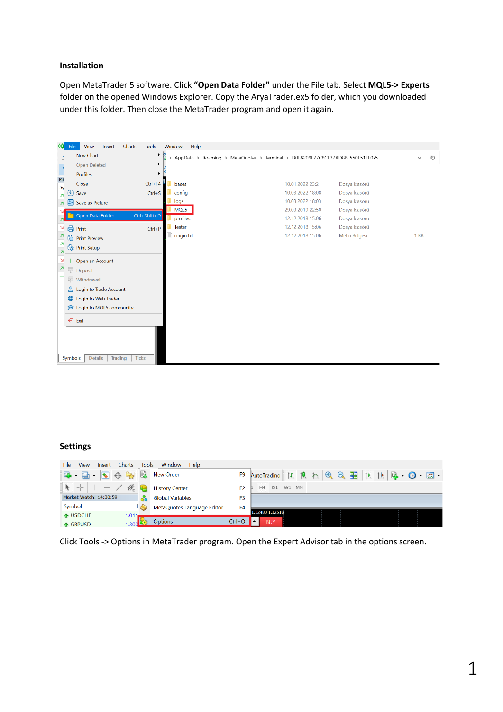#### **Installation**

Open MetaTrader 5 software. Click **"Open Data Folder"** under the File tab. Select **MQL5-> Experts**  folder on the opened Windows Explorer. Copy the AryaTrader.ex5 folder, which you downloaded under this folder. Then close the MetaTrader program and open it again.

| 혜                        | File        | View                              | Insert | Charts                  | <b>Tools</b>       | Window     | Help                                                                           |  |                  |               |  |              |   |
|--------------------------|-------------|-----------------------------------|--------|-------------------------|--------------------|------------|--------------------------------------------------------------------------------|--|------------------|---------------|--|--------------|---|
|                          |             | New Chart                         |        |                         | r                  | F          | > AppData > Roaming > MetaQuotes > Terminal > D0E8209F77C8CF37AD8BF550E51FF075 |  |                  |               |  | $\checkmark$ | ಿ |
|                          |             | Open Deleted                      |        |                         | r                  |            |                                                                                |  |                  |               |  |              |   |
| $\frac{1}{M_0}$          |             | Profiles                          |        |                         | Þ                  |            |                                                                                |  |                  |               |  |              |   |
| Sy                       |             | Close                             |        |                         | $Ctrl + F4$        | bases      |                                                                                |  | 10.01.2022 23:21 | Dosya klasörü |  |              |   |
| $\overline{\mathbf{z}}$  | (4)         | Save                              |        |                         | $Ctrl + S$         | config     |                                                                                |  | 10.03.2022 18:08 | Dosya klasörü |  |              |   |
| $\overline{\mathbf{z}}$  |             | Save as Picture                   |        |                         |                    | logs       |                                                                                |  | 10.03.2022 18:03 | Dosya klasörü |  |              |   |
|                          |             |                                   |        |                         |                    | MQL5       |                                                                                |  | 29.03.2019 22:50 | Dosya klasörü |  |              |   |
| <b>ZI</b>                |             | Open Data Folder                  |        |                         | $Ctrl + Shift + D$ | profiles   |                                                                                |  | 12.12.2018 15:06 | Dosya klasörü |  |              |   |
| $\Delta$                 |             | <b>合</b> Print                    |        |                         | $Ctrl + P$         | Tester     |                                                                                |  | 12.12.2018 15:06 | Dosya klasörü |  |              |   |
| Z                        |             | <sup><i>C</i></sup> Print Preview |        |                         |                    | origin.txt |                                                                                |  | 12.12.2018 15:06 | Metin Belgesi |  | 1 KB         |   |
| $\overline{\mathbf{z}}$  |             | ि Print Setup                     |        |                         |                    |            |                                                                                |  |                  |               |  |              |   |
| $\overline{\mathbf{z}}$  |             |                                   |        |                         |                    |            |                                                                                |  |                  |               |  |              |   |
| N                        |             | + Open an Account                 |        |                         |                    |            |                                                                                |  |                  |               |  |              |   |
| $\overline{\phantom{a}}$ | Ţ           | Deposit                           |        |                         |                    |            |                                                                                |  |                  |               |  |              |   |
| $^{+}$                   |             | Withdrawal                        |        |                         |                    |            |                                                                                |  |                  |               |  |              |   |
|                          | ≗           | Login to Trade Account            |        |                         |                    |            |                                                                                |  |                  |               |  |              |   |
|                          | $\bigoplus$ | Login to Web Trader               |        |                         |                    |            |                                                                                |  |                  |               |  |              |   |
|                          |             | C Login to MQL5.community         |        |                         |                    |            |                                                                                |  |                  |               |  |              |   |
|                          |             |                                   |        |                         |                    |            |                                                                                |  |                  |               |  |              |   |
|                          |             | $\ominus$ Exit                    |        |                         |                    |            |                                                                                |  |                  |               |  |              |   |
|                          |             |                                   |        |                         |                    |            |                                                                                |  |                  |               |  |              |   |
|                          |             |                                   |        |                         |                    |            |                                                                                |  |                  |               |  |              |   |
|                          |             |                                   |        |                         |                    |            |                                                                                |  |                  |               |  |              |   |
|                          |             | <b>Details</b><br>Symbols         |        | Trading<br><b>Ticks</b> |                    |            |                                                                                |  |                  |               |  |              |   |

#### **Settings**

| <b>View</b><br>File<br>Insert                                                    | Charts<br><b>Tools</b> | Window<br>Help             |                |                                                                                                                        |
|----------------------------------------------------------------------------------|------------------------|----------------------------|----------------|------------------------------------------------------------------------------------------------------------------------|
| $\Phi_{\!\!\scriptscriptstyle (\!\chi\!)}$<br>国<br>♦<br>$\overline{\phantom{a}}$ | E                      | <b>New Order</b>           | F <sub>9</sub> | 晶<br>$A - B$<br>$\mathbf \oplus$<br>止<br><b>- 콩 -</b><br>良<br>AutoTrading <u>   は</u><br>$\mathbb{R}$<br>a<br><b>E</b> |
|                                                                                  | 鍵                      | <b>History Center</b>      | F <sub>2</sub> | W1<br><b>MN</b><br>H4<br>D1                                                                                            |
| Market Watch: 14:30:59                                                           | ŏā                     | <b>Global Variables</b>    | F <sub>3</sub> |                                                                                                                        |
| Symbol                                                                           |                        | MetaQuotes Language Editor | F <sub>4</sub> |                                                                                                                        |
| <b>← USDCHF</b>                                                                  | 1.011                  |                            |                | 1.12480 1.12518                                                                                                        |
| <b>↑ GBPUSD</b>                                                                  | 1.30dL                 | <b>Options</b>             | $Ctrl + O$     | <b>BUY</b>                                                                                                             |

Click Tools -> Options in MetaTrader program. Open the Expert Advisor tab in the options screen.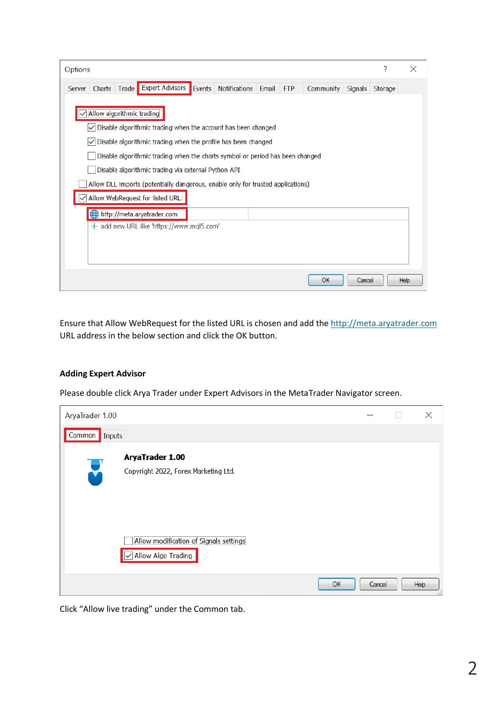| Options                                                                                                                                                     | ?       |      |  |  |  |  |  |  |  |
|-------------------------------------------------------------------------------------------------------------------------------------------------------------|---------|------|--|--|--|--|--|--|--|
| Charts   Trade   Expert Advisors<br><b>Notifications</b><br>Events<br>Email<br><b>Community</b><br><b>FTP</b><br><b>Signals</b><br><b>Server</b>            | Storage |      |  |  |  |  |  |  |  |
| Allow algorithmic trading<br>Disable algorithmic trading when the account has been changed<br>Disable algorithmic trading when the profile has been changed |         |      |  |  |  |  |  |  |  |
| Disable algorithmic trading when the charts symbol or period has been changed                                                                               |         |      |  |  |  |  |  |  |  |
| Disable algorithmic trading via external Python API                                                                                                         |         |      |  |  |  |  |  |  |  |
| Allow DLL imports (potentially dangerous, enable only for trusted applications)                                                                             |         |      |  |  |  |  |  |  |  |
| Allow WebRequest for listed URL:                                                                                                                            |         |      |  |  |  |  |  |  |  |
| http://meta.aryatrader.com                                                                                                                                  |         |      |  |  |  |  |  |  |  |
| $+$ add new URL like 'https://www.mql5.com'                                                                                                                 |         |      |  |  |  |  |  |  |  |
|                                                                                                                                                             |         |      |  |  |  |  |  |  |  |
|                                                                                                                                                             |         |      |  |  |  |  |  |  |  |
|                                                                                                                                                             |         |      |  |  |  |  |  |  |  |
| OK<br>Cancel                                                                                                                                                |         | Help |  |  |  |  |  |  |  |

Ensure that Allow WebRequest for the listed URL is chosen and add the [http://meta.aryatrader.com](http://meta.aryatrader.com/) URL address in the below section and click the OK button.

#### **Adding Expert Advisor**

Please double click Arya Trader under Expert Advisors in the MetaTrader Navigator screen.

| AryaTrader 1.00 |                                                              |        | X                      |
|-----------------|--------------------------------------------------------------|--------|------------------------|
| Common   Inputs |                                                              |        |                        |
|                 | <b>AryaTrader 1.00</b>                                       |        |                        |
| U               | Copyright 2022, Forex Marketing Ltd.                         |        |                        |
|                 |                                                              |        |                        |
|                 |                                                              |        |                        |
|                 |                                                              |        |                        |
|                 | Allow modification of Signals settings<br>Allow Algo Trading |        |                        |
|                 |                                                              |        |                        |
|                 | OK.                                                          | Cancel | Help<br>$\overline{1}$ |

Click "Allow live trading" under the Common tab.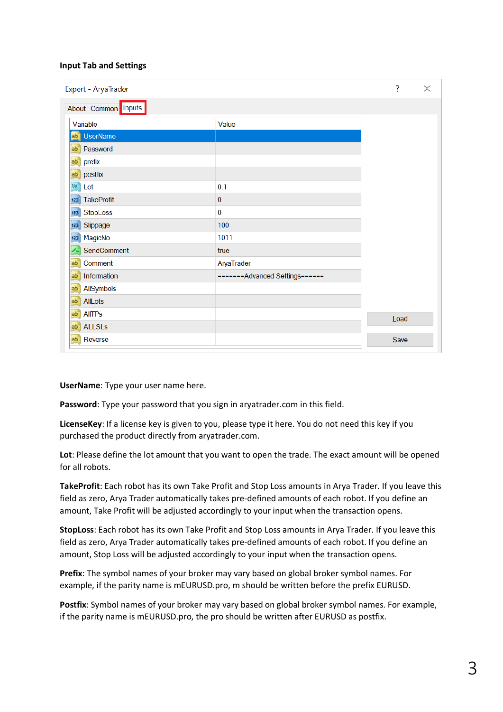### **Input Tab and Settings**

| Expert - AryaTrader      | ?                               | $\times$ |  |
|--------------------------|---------------------------------|----------|--|
| About Common Inputs      |                                 |          |  |
| Variable                 | Value                           |          |  |
| <b>UserName</b><br>ab    |                                 |          |  |
| Password<br>$ab-1$       |                                 |          |  |
| prefix<br>ab'            |                                 |          |  |
| postfix<br>ab            |                                 |          |  |
| $v_{\rm c}$<br>Lot       | 0.1                             |          |  |
| <b>TakeProfit</b><br>123 | 0                               |          |  |
| <b>StopLoss</b><br>123   | 0                               |          |  |
| Slippage<br>123          | 100                             |          |  |
| MagicNo<br>123           | 1011                            |          |  |
| SendComment              | true                            |          |  |
| Comment<br>ab'           | AryaTrader                      |          |  |
| Information<br>ab'       | ======= Advanced Settings====== |          |  |
| AllSymbols<br>ab'        |                                 |          |  |
| AllLots<br>ab'           |                                 |          |  |
| <b>AllTPs</b><br>ab'     |                                 | Load     |  |
| <b>ALLSLs</b><br>ab"     |                                 |          |  |
| ab'<br>Reverse           |                                 | Save     |  |

**UserName**: Type your user name here.

**Password**: Type your password that you sign in aryatrader.com in this field.

**LicenseKey**: If a license key is given to you, please type it here. You do not need this key if you purchased the product directly from aryatrader.com.

Lot: Please define the lot amount that you want to open the trade. The exact amount will be opened for all robots.

**TakeProfit**: Each robot has its own Take Profit and Stop Loss amounts in Arya Trader. If you leave this field as zero, Arya Trader automatically takes pre-defined amounts of each robot. If you define an amount, Take Profit will be adjusted accordingly to your input when the transaction opens.

**StopLoss**: Each robot has its own Take Profit and Stop Loss amounts in Arya Trader. If you leave this field as zero, Arya Trader automatically takes pre-defined amounts of each robot. If you define an amount, Stop Loss will be adjusted accordingly to your input when the transaction opens.

**Prefix**: The symbol names of your broker may vary based on global broker symbol names. For example, if the parity name is mEURUSD.pro, m should be written before the prefix EURUSD.

**Postfix**: Symbol names of your broker may vary based on global broker symbol names. For example, if the parity name is mEURUSD.pro, the pro should be written after EURUSD as postfix.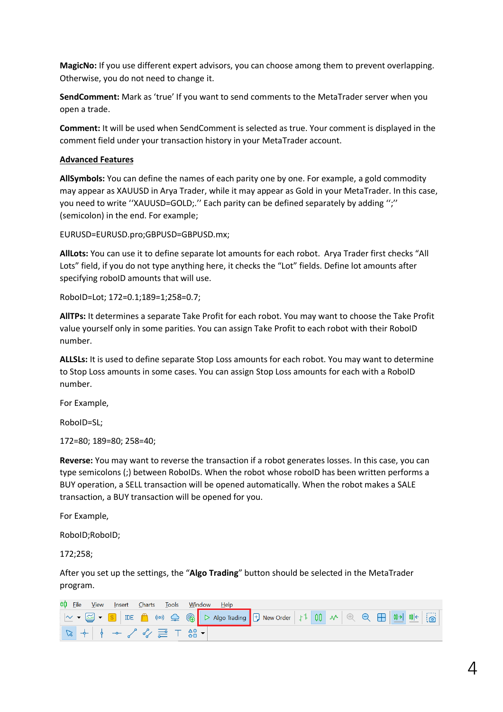**MagicNo:** If you use different expert advisors, you can choose among them to prevent overlapping. Otherwise, you do not need to change it.

**SendComment:** Mark as 'true' If you want to send comments to the MetaTrader server when you open a trade.

**Comment:** It will be used when SendComment is selected as true. Your comment is displayed in the comment field under your transaction history in your MetaTrader account.

### **Advanced Features**

**AllSymbols:** You can define the names of each parity one by one. For example, a gold commodity may appear as XAUUSD in Arya Trader, while it may appear as Gold in your MetaTrader. In this case, you need to write ''XAUUSD=GOLD;.'' Each parity can be defined separately by adding '';'' (semicolon) in the end. For example;

EURUSD=EURUSD.pro;GBPUSD=GBPUSD.mx;

**AllLots:** You can use it to define separate lot amounts for each robot. Arya Trader first checks "All Lots" field, if you do not type anything here, it checks the "Lot" fields. Define lot amounts after specifying roboID amounts that will use.

RoboID=Lot; 172=0.1;189=1;258=0.7;

**AllTPs:** It determines a separate Take Profit for each robot. You may want to choose the Take Profit value yourself only in some parities. You can assign Take Profit to each robot with their RoboID number.

**ALLSLs:** It is used to define separate Stop Loss amounts for each robot. You may want to determine to Stop Loss amounts in some cases. You can assign Stop Loss amounts for each with a RoboID number.

For Example,

RoboID=SL;

172=80; 189=80; 258=40;

**Reverse:** You may want to reverse the transaction if a robot generates losses. In this case, you can type semicolons (;) between RoboIDs. When the robot whose roboID has been written performs a BUY operation, a SELL transaction will be opened automatically. When the robot makes a SALE transaction, a BUY transaction will be opened for you.

For Example,

RoboID;RoboID;

172;258;

After you set up the settings, the "**Algo Trading**" button should be selected in the MetaTrader program.